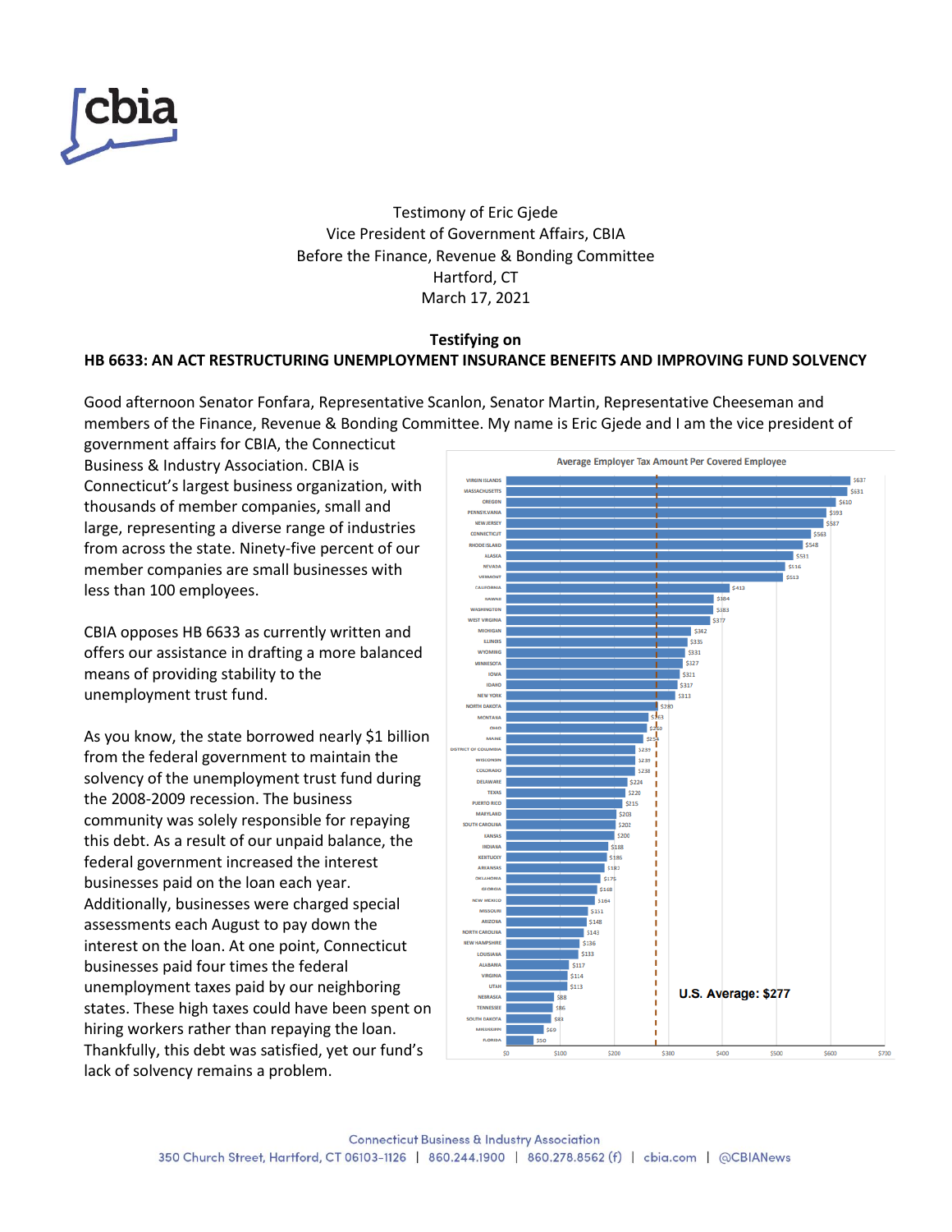

Testimony of Eric Gjede Vice President of Government Affairs, CBIA Before the Finance, Revenue & Bonding Committee Hartford, CT March 17, 2021

## **Testifying on HB 6633: AN ACT RESTRUCTURING UNEMPLOYMENT INSURANCE BENEFITS AND IMPROVING FUND SOLVENCY**

Good afternoon Senator Fonfara, Representative Scanlon, Senator Martin, Representative Cheeseman and members of the Finance, Revenue & Bonding Committee. My name is Eric Gjede and I am the vice president of

government affairs for CBIA, the Connecticut Business & Industry Association. CBIA is Connecticut's largest business organization, with thousands of member companies, small and large, representing a diverse range of industries from across the state. Ninety-five percent of our member companies are small businesses with less than 100 employees.

CBIA opposes HB 6633 as currently written and offers our assistance in drafting a more balanced means of providing stability to the unemployment trust fund.

As you know, the state borrowed nearly \$1 billion from the federal government to maintain the solvency of the unemployment trust fund during the 2008-2009 recession. The business community was solely responsible for repaying this debt. As a result of our unpaid balance, the federal government increased the interest businesses paid on the loan each year. Additionally, businesses were charged special assessments each August to pay down the interest on the loan. At one point, Connecticut businesses paid four times the federal unemployment taxes paid by our neighboring states. These high taxes could have been spent on hiring workers rather than repaying the loan. Thankfully, this debt was satisfied, yet our fund's lack of solvency remains a problem.

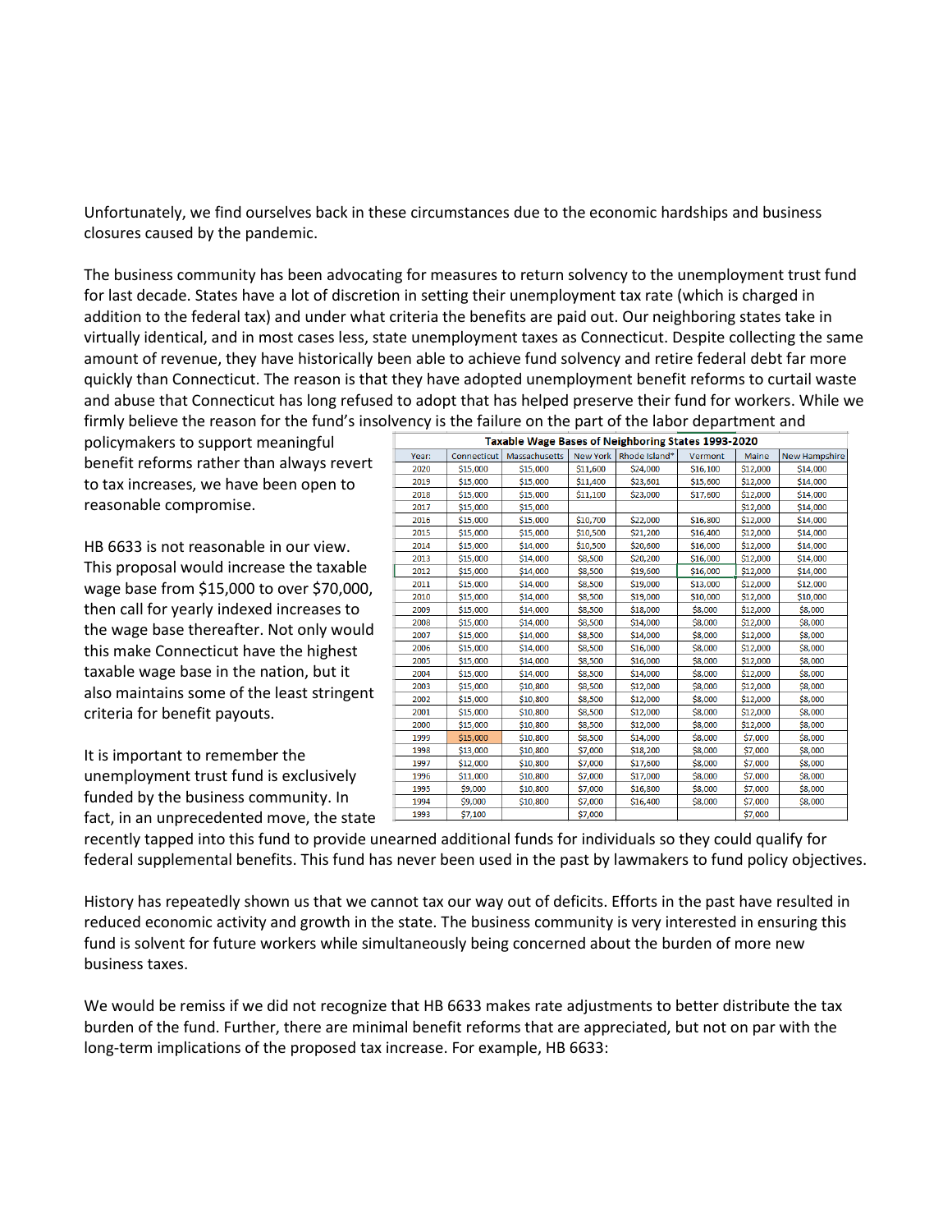Unfortunately, we find ourselves back in these circumstances due to the economic hardships and business closures caused by the pandemic.

The business community has been advocating for measures to return solvency to the unemployment trust fund for last decade. States have a lot of discretion in setting their unemployment tax rate (which is charged in addition to the federal tax) and under what criteria the benefits are paid out. Our neighboring states take in virtually identical, and in most cases less, state unemployment taxes as Connecticut. Despite collecting the same amount of revenue, they have historically been able to achieve fund solvency and retire federal debt far more quickly than Connecticut. The reason is that they have adopted unemployment benefit reforms to curtail waste and abuse that Connecticut has long refused to adopt that has helped preserve their fund for workers. While we firmly believe the reason for the fund's insolvency is the failure on the part of the labor department and

policymakers to support meaningful benefit reforms rather than always revert to tax increases, we have been open to reasonable compromise.

HB 6633 is not reasonable in our view. This proposal would increase the taxable wage base from \$15,000 to over \$70,000, then call for yearly indexed increases to the wage base thereafter. Not only would this make Connecticut have the highest taxable wage base in the nation, but it also maintains some of the least stringent criteria for benefit payouts.

It is important to remember the unemployment trust fund is exclusively funded by the business community. In fact, in an unprecedented move, the state

| ivency is the failure on the part of the labor department and |             |               |          |                        |          |              |               |
|---------------------------------------------------------------|-------------|---------------|----------|------------------------|----------|--------------|---------------|
| Taxable Wage Bases of Neighboring States 1993-2020            |             |               |          |                        |          |              |               |
| Year:                                                         | Connecticut | Massachusetts |          | New York Rhode Island* | Vermont  | <b>Maine</b> | New Hampshire |
| 2020                                                          | \$15,000    | \$15,000      | \$11,600 | \$24,000               | \$16,100 | \$12,000     | \$14,000      |
| 2019                                                          | \$15,000    | \$15,000      | \$11,400 | \$23,601               | \$15,600 | \$12,000     | \$14,000      |
| 2018                                                          | \$15,000    | \$15,000      | \$11,100 | \$23,000               | \$17,600 | \$12,000     | \$14,000      |
| 2017                                                          | \$15,000    | \$15,000      |          |                        |          | \$12,000     | \$14,000      |
| 2016                                                          | \$15,000    | \$15,000      | \$10,700 | \$22,000               | \$16,800 | \$12,000     | \$14,000      |
| 2015                                                          | \$15,000    | \$15,000      | \$10,500 | \$21,200               | \$16,400 | \$12,000     | \$14,000      |
| 2014                                                          | \$15,000    | \$14,000      | \$10,500 | \$20,600               | \$16,000 | \$12,000     | \$14,000      |
| 2013                                                          | \$15,000    | \$14,000      | \$8,500  | \$20,200               | \$16,000 | \$12,000     | \$14,000      |
| 2012                                                          | \$15,000    | \$14,000      | \$8,500  | \$19,600               | \$16,000 | \$12,000     | \$14,000      |
| 2011                                                          | \$15,000    | \$14,000      | \$8,500  | \$19,000               | \$13,000 | \$12,000     | \$12,000      |
| 2010                                                          | \$15,000    | \$14,000      | \$8,500  | \$19,000               | \$10,000 | \$12,000     | \$10,000      |
| 2009                                                          | \$15,000    | \$14,000      | \$8,500  | \$18,000               | \$8,000  | \$12,000     | \$8,000       |
| 2008                                                          | \$15,000    | \$14,000      | \$8,500  | \$14,000               | \$8,000  | \$12,000     | \$8,000       |
| 2007                                                          | \$15,000    | \$14,000      | \$8,500  | \$14,000               | \$8,000  | \$12,000     | \$8,000       |
| 2006                                                          | \$15,000    | \$14,000      | \$8,500  | \$16,000               | \$8,000  | \$12,000     | \$8,000       |
| 2005                                                          | \$15,000    | \$14,000      | \$8,500  | \$16,000               | \$8,000  | \$12,000     | \$8,000       |
| 2004                                                          | \$15,000    | \$14,000      | \$8,500  | \$14,000               | \$8,000  | \$12,000     | \$8,000       |
| 2003                                                          | \$15,000    | \$10,800      | \$8,500  | \$12,000               | \$8,000  | \$12,000     | \$8,000       |
| 2002                                                          | \$15,000    | \$10,800      | \$8,500  | \$12,000               | \$8,000  | \$12,000     | \$8,000       |
| 2001                                                          | \$15,000    | \$10,800      | \$8,500  | \$12,000               | \$8,000  | \$12,000     | \$8,000       |
| 2000                                                          | \$15,000    | \$10,800      | \$8,500  | \$12,000               | \$8,000  | \$12,000     | \$8,000       |
| 1999                                                          | \$15,000    | \$10,800      | \$8,500  | \$14,000               | \$8,000  | \$7,000      | \$8,000       |
| 1998                                                          | \$13,000    | \$10,800      | \$7,000  | \$18,200               | \$8,000  | \$7,000      | \$8,000       |
| 1997                                                          | \$12,000    | \$10,800      | \$7,000  | \$17,600               | \$8,000  | \$7,000      | \$8,000       |
| 1996                                                          | \$11,000    | \$10,800      | \$7,000  | \$17,000               | \$8,000  | \$7,000      | \$8,000       |
| 1995                                                          | \$9,000     | \$10,800      | \$7,000  | \$16,800               | \$8,000  | \$7,000      | \$8,000       |
| 1994                                                          | \$9,000     | \$10,800      | \$7,000  | \$16,400               | \$8,000  | \$7,000      | \$8,000       |
| 1993                                                          | \$7,100     |               | \$7,000  |                        |          | \$7,000      |               |

recently tapped into this fund to provide unearned additional funds for individuals so they could qualify for federal supplemental benefits. This fund has never been used in the past by lawmakers to fund policy objectives.

History has repeatedly shown us that we cannot tax our way out of deficits. Efforts in the past have resulted in reduced economic activity and growth in the state. The business community is very interested in ensuring this fund is solvent for future workers while simultaneously being concerned about the burden of more new business taxes.

We would be remiss if we did not recognize that HB 6633 makes rate adjustments to better distribute the tax burden of the fund. Further, there are minimal benefit reforms that are appreciated, but not on par with the long-term implications of the proposed tax increase. For example, HB 6633: